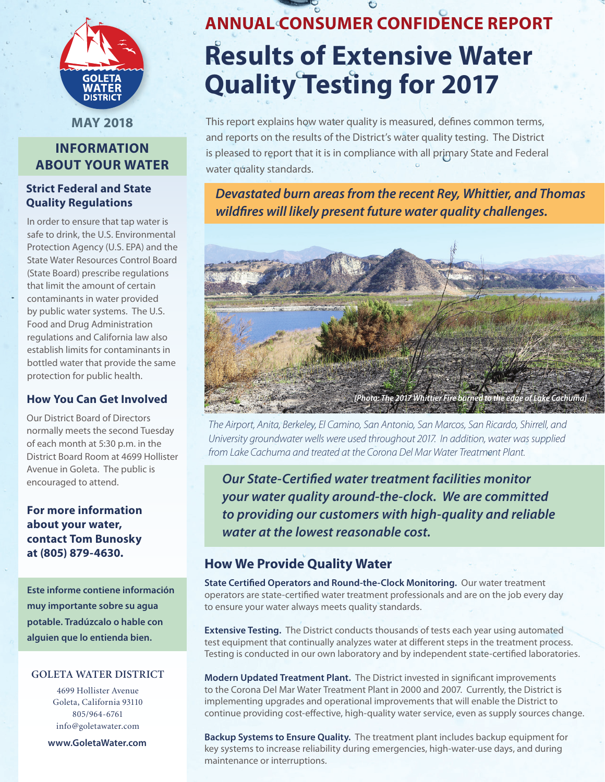

**MAY 2018**

## **INFORMATION ABOUT YOUR WATER**

## **Strict Federal and State Quality Regulations**

In order to ensure that tap water is safe to drink, the U.S. Environmental Protection Agency (U.S. EPA) and the State Water Resources Control Board (State Board) prescribe regulations that limit the amount of certain contaminants in water provided by public water systems. The U.S. Food and Drug Administration regulations and California law also establish limits for contaminants in bottled water that provide the same protection for public health.

## **How You Can Get Involved**

Our District Board of Directors normally meets the second Tuesday of each month at 5:30 p.m. in the District Board Room at 4699 Hollister Avenue in Goleta. The public is encouraged to attend.

**For more information about your water, contact Tom Bunosky at (805) 879-4630.**

**Este informe contiene información muy importante sobre su agua potable. Tradúzcalo o hable con alguien que lo entienda bien.**

## **GOLETA WATER DISTRICT**

4699 Hollister Avenue Goleta, California 93110 805/964-6761 info@goletawater.com

**www.GoletaWater.com**

# **ANNUAL CONSUMER CONFIDENCE REPORT Results of Extensive Water Quality Testing for 2017**

This report explains how water quality is measured, defines common terms, and reports on the results of the District's water quality testing. The District is pleased to report that it is in compliance with all primary State and Federal water quality standards.

*Devastated burn areas from the recent Rey, Whittier, and Thomas wildfires will likely present future water quality challenges.* 



*The Airport, Anita, Berkeley, El Camino, San Antonio, San Marcos, San Ricardo, Shirrell, and University groundwater wells were used throughout 2017. In addition, water was supplied from Lake Cachuma and treated at the Corona Del Mar Water Treatment Plant.* 

*Our State-Certified water treatment facilities monitor your water quality around-the-clock. We are committed to providing our customers with high-quality and reliable water at the lowest reasonable cost.*

## **How We Provide Quality Water**

**State Certified Operators and Round-the-Clock Monitoring.** Our water treatment operators are state-certified water treatment professionals and are on the job every day to ensure your water always meets quality standards.

**Extensive Testing.** The District conducts thousands of tests each year using automated test equipment that continually analyzes water at different steps in the treatment process. Testing is conducted in our own laboratory and by independent state-certified laboratories.

**Modern Updated Treatment Plant.** The District invested in significant improvements to the Corona Del Mar Water Treatment Plant in 2000 and 2007. Currently, the District is implementing upgrades and operational improvements that will enable the District to continue providing cost-effective, high-quality water service, even as supply sources change.

**Backup Systems to Ensure Quality.** The treatment plant includes backup equipment for key systems to increase reliability during emergencies, high-water-use days, and during maintenance or interruptions.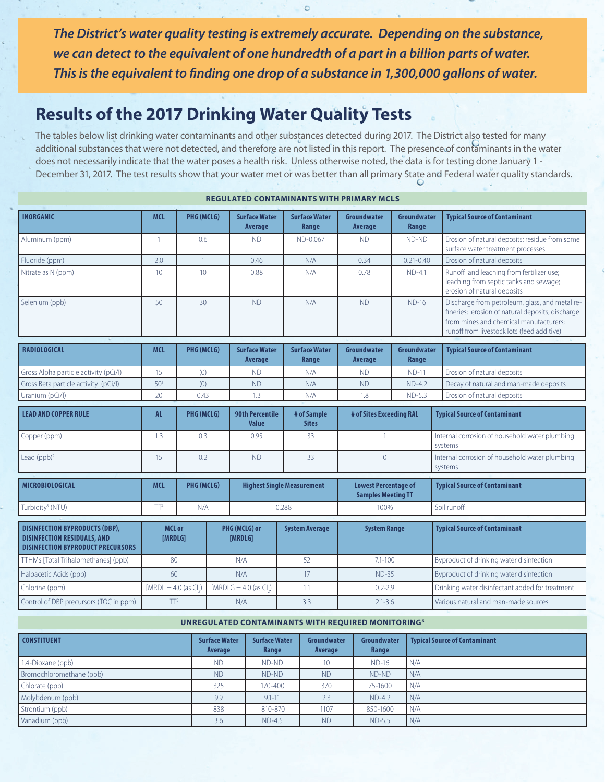*The District's water quality testing is extremely accurate. Depending on the substance, we can detect to the equivalent of one hundredth of a part in a billion parts of water. This is the equivalent to finding one drop of a substance in 1,300,000 gallons of water.*

## **Results of the 2017 Drinking Water Quality Tests**

The tables below list drinking water contaminants and other substances detected during 2017. The District also tested for many additional substances that were not detected, and therefore are not listed in this report. The presence of contaminants in the water does not necessarily indicate that the water poses a health risk. Unless otherwise noted, the data is for testing done January 1 - December 31, 2017. The test results show that your water met or was better than all primary State and Federal water quality standards.

| <b>INORGANIC</b>                                                                                                        | <b>MCL</b>      | PHG (MCLG)                      |     | <b>Surface Water</b><br>Average        | <b>Surface Water</b><br>Range     | Groundwater<br>Average                                   | Groundwater<br>Range | <b>Typical Source of Contaminant</b>                                                                                                                                                       |  |
|-------------------------------------------------------------------------------------------------------------------------|-----------------|---------------------------------|-----|----------------------------------------|-----------------------------------|----------------------------------------------------------|----------------------|--------------------------------------------------------------------------------------------------------------------------------------------------------------------------------------------|--|
| Aluminum (ppm)                                                                                                          | $\mathbf{1}$    | 0.6                             |     | <b>ND</b>                              | ND-0.067                          | <b>ND</b><br>ND-ND                                       |                      | Erosion of natural deposits; residue from some<br>surface water treatment processes                                                                                                        |  |
| Fluoride (ppm)                                                                                                          | 2.0             |                                 |     | 0.46                                   | N/A                               | 0.34                                                     | $0.21 - 0.40$        | Erosion of natural deposits                                                                                                                                                                |  |
| Nitrate as N (ppm)                                                                                                      | 10              | 10                              |     | 0.88                                   | N/A                               | 0.78                                                     | $ND-4.1$             | Runoff and leaching from fertilizer use;<br>leaching from septic tanks and sewage;<br>erosion of natural deposits                                                                          |  |
| Selenium (ppb)                                                                                                          | 50              | 30                              |     | <b>ND</b>                              | N/A                               | <b>ND</b>                                                | $ND-16$              | Discharge from petroleum, glass, and metal re-<br>fineries; erosion of natural deposits; discharge<br>from mines and chemical manufacturers:<br>runoff from livestock lots (feed additive) |  |
| <b>RADIOLOGICAL</b>                                                                                                     | <b>MCL</b>      | PHG (MCLG)                      |     | <b>Surface Water</b><br>Average        | <b>Surface Water</b><br>Range     | Groundwater<br>Average                                   | Groundwater<br>Range | <b>Typical Source of Contaminant</b>                                                                                                                                                       |  |
| Gross Alpha particle activity (pCi/l)                                                                                   | 15              | (0)                             |     | <b>ND</b>                              | N/A                               | <b>ND</b>                                                | $ND-11$              | Erosion of natural deposits                                                                                                                                                                |  |
| Gross Beta particle activity (pCi/l)                                                                                    | 50 <sup>1</sup> | (0)                             |     | <b>ND</b>                              | N/A                               | <b>ND</b>                                                | $ND-4.2$             | Decay of natural and man-made deposits                                                                                                                                                     |  |
| Uranium (pCi/l)                                                                                                         | 20              | 0.43                            |     | 1.3                                    | N/A                               | 1.8                                                      | $ND-5.3$             | Erosion of natural deposits                                                                                                                                                                |  |
| <b>LEAD AND COPPER RULE</b>                                                                                             | <b>AL</b>       | PHG (MCLG)                      |     | <b>90th Percentile</b><br><b>Value</b> | # of Sample<br><b>Sites</b>       | # of Sites Exceeding RAL                                 |                      | <b>Typical Source of Contaminant</b>                                                                                                                                                       |  |
| Copper (ppm)                                                                                                            | 1.3             | 0.3                             |     | 0.95                                   | 33                                | $\mathbf{1}$                                             |                      | Internal corrosion of household water plumbing<br>systems                                                                                                                                  |  |
| Lead $(ppb)^2$                                                                                                          | 15              | 0.2                             |     | <b>ND</b>                              | 33                                | $\overline{0}$                                           |                      | Internal corrosion of household water plumbing<br>systems                                                                                                                                  |  |
| <b>MICROBIOLOGICAL</b>                                                                                                  | <b>MCL</b>      | PHG (MCLG)                      |     |                                        | <b>Highest Single Measurement</b> | <b>Lowest Percentage of</b><br><b>Samples Meeting TT</b> |                      | <b>Typical Source of Contaminant</b>                                                                                                                                                       |  |
| Turbidity <sup>3</sup> (NTU)                                                                                            | TT <sup>4</sup> | N/A                             |     |                                        | 0.288                             | 100%                                                     |                      | Soil runoff                                                                                                                                                                                |  |
| <b>DISINFECTION BYPRODUCTS (DBP),</b><br><b>DISINFECTION RESIDUALS, AND</b><br><b>DISINFECTION BYPRODUCT PRECURSORS</b> |                 | <b>MCL or</b><br><b>IMRDLG1</b> |     | PHG (MCLG) or<br><b>IMRDLG1</b>        | <b>System Average</b>             | <b>System Range</b>                                      |                      | <b>Typical Source of Contaminant</b>                                                                                                                                                       |  |
| TTHMs [Total Trihalomethanes] (ppb)                                                                                     |                 | 80                              |     | N/A                                    | 52                                | $7.1 - 100$                                              |                      | Byproduct of drinking water disinfection                                                                                                                                                   |  |
| Haloacetic Acids (ppb)                                                                                                  |                 | 60                              |     | N/A                                    | 17                                | $ND-35$                                                  |                      | Byproduct of drinking water disinfection                                                                                                                                                   |  |
| Chlorine (ppm)                                                                                                          |                 | $[MRDL = 4.0$ (as Cl.           |     | $[MRDLG = 4.0$ (as Cl.)                | 1.1                               | $0.2 - 2.9$                                              |                      | Drinking water disinfectant added for treatment                                                                                                                                            |  |
| Control of DBP precursors (TOC in ppm)                                                                                  | TT <sup>5</sup> |                                 | N/A |                                        | 3.3                               | $2.1 - 3.6$                                              |                      | Various natural and man-made sources                                                                                                                                                       |  |

**REGULATED CONTAMINANTS WITH PRIMARY MCLS**

#### **UNREGULATED CONTAMINANTS WITH REQUIRED MONITORING6**

| <b>CONSTITUENT</b>       | <b>Surface Water</b><br>Average | <b>Surface Water</b><br>Range | Groundwater<br>Average | Groundwater<br>Range | <b>Typical Source of Contaminant</b> |
|--------------------------|---------------------------------|-------------------------------|------------------------|----------------------|--------------------------------------|
| 1,4-Dioxane (ppb)        | <b>ND</b>                       | ND-ND                         | 10                     | $ND-16$              | N/A                                  |
| Bromochloromethane (ppb) | <b>ND</b>                       | ND-ND                         | <b>ND</b>              | ND-ND                | N/A                                  |
| Chlorate (ppb)           | 325                             | 170-400                       | 370                    | 75-1600              | N/A                                  |
| Molybdenum (ppb)         | 9.9                             | $9.1 - 11$                    | 2.3                    | $ND-4.2$             | N/A                                  |
| Strontium (ppb)          | 838                             | 810-870                       | 1107                   | 850-1600             | N/A                                  |
| Vanadium (ppb)           | 3.6                             | $ND-4.5$                      | <b>ND</b>              | $ND-5.5$             | N/A                                  |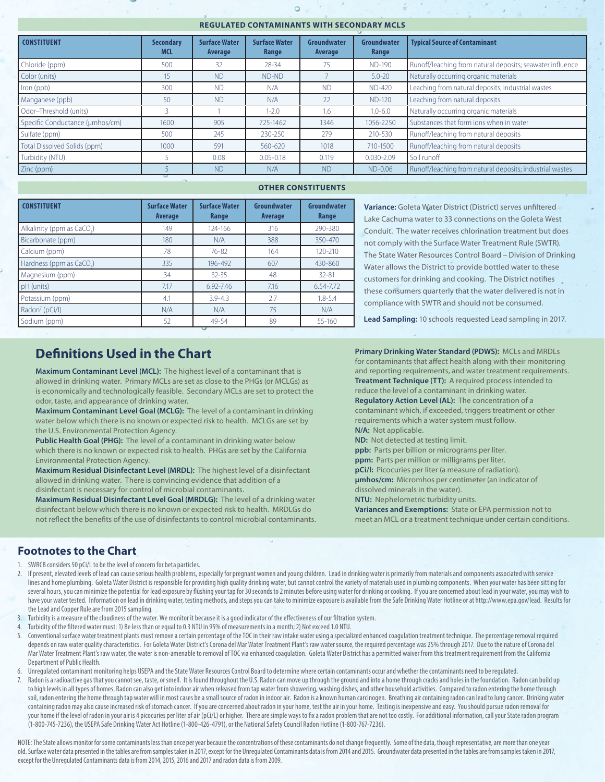#### **REGULATED CONTAMINANTS WITH SECONDARY MCLS**

ö

| <b>CONSTITUENT</b>              | <b>Secondary</b><br><b>MCL</b> | <b>Surface Water</b><br>Average | <b>Surface Water</b><br>Range | Groundwater<br>Average | Groundwater<br>Range | <b>Typical Source of Contaminant</b>                      |  |
|---------------------------------|--------------------------------|---------------------------------|-------------------------------|------------------------|----------------------|-----------------------------------------------------------|--|
| Chloride (ppm)                  | 500                            | 32                              | $28 - 34$                     | 75                     | ND-190               | Runoff/leaching from natural deposits; seawater influence |  |
| Color (units)                   | 15                             | <b>ND</b>                       | ND-ND                         |                        | $5.0 - 20$           | Naturally occurring organic materials                     |  |
| Iron (ppb)                      | 300                            | <b>ND</b>                       | N/A                           | <b>ND</b>              | ND-420               | Leaching from natural deposits; industrial wastes         |  |
| Manganese (ppb)                 | 50                             | <b>ND</b>                       | N/A                           | 22                     | <b>ND-120</b>        | Leaching from natural deposits                            |  |
| Odor-Threshold (units)          |                                |                                 | $1 - 2.0$                     | 1.6                    | $1.0 - 6.0$          | Naturally occurring organic materials                     |  |
| Specific Conductance (umhos/cm) | 1600                           | 905                             | 725-1462                      | 1346                   | 1056-2250            | Substances that form jons when in water                   |  |
| Sulfate (ppm)                   | 500                            | 245                             | 230-250                       | 279                    | 210-530              | Runoff/leaching from natural deposits                     |  |
| Total Dissolved Solids (ppm)    | 1000                           | 591                             | 560-620                       | 1018                   | 710-1500             | Runoff/leaching from natural deposits                     |  |
| Turbidity (NTU)                 |                                | 0.08                            | $0.05 - 0.18$                 | 0.119                  | $0.030 - 2.09$       | Soil runoff                                               |  |
| Zinc (ppm)                      |                                | <b>ND</b>                       | N/A                           | <b>ND</b>              | ND-0.06              | Runoff/leaching from natural deposits; industrial wastes  |  |

#### **OTHER CONSTITUENTS**

| <b>CONSTITUENT</b>         | <b>Surface Water</b><br>Average | <b>Surface Water</b><br>Range | Groundwater<br>Average | Groundwater<br>Range |
|----------------------------|---------------------------------|-------------------------------|------------------------|----------------------|
| Alkalinity (ppm as CaCO.)  | 149                             | 124-166                       | 316                    | 290-380              |
| Bicarbonate (ppm)          | 180                             | N/A                           | 388                    | 350-470              |
| Calcium (ppm)              | 78                              | $76 - 82$                     | 164                    | 120-210              |
| Hardness (ppm as CaCO.)    | 335                             | 196-492                       | 607                    | 430-860              |
| Magnesium (ppm)            | 34                              | 32-35                         | 48                     | $32 - 81$            |
| pH (units)                 | 7.17                            | 6.92-7.46                     | 7.16                   | 6.54-7.72            |
| Potassium (ppm)            | 4.1                             | $3.9 - 4.3$                   | 2.7                    | $1.8 - 5.4$          |
| Radon <sup>7</sup> (pCi/l) | N/A                             | N/A                           | 75                     | N/A                  |
| Sodium (ppm)               | 52                              | 49-54                         | 89                     | 55-160               |

**Variance:** Goleta Water District (District) serves unfiltered Lake Cachuma water to 33 connections on the Goleta West Conduit. The water receives chlorination treatment but does not comply with the Surface Water Treatment Rule (SWTR). The State Water Resources Control Board – Division of Drinking Water allows the District to provide bottled water to these customers for drinking and cooking. The District notifies these consumers quarterly that the water delivered is not in compliance with SWTR and should not be consumed.

**Lead Sampling:** 10 schools requested Lead sampling in 2017.

## **Definitions Used in the Chart**

**Maximum Contaminant Level (MCL):** The highest level of a contaminant that is allowed in drinking water. Primary MCLs are set as close to the PHGs (or MCLGs) as is economically and technologically feasible. Secondary MCLs are set to protect the odor, taste, and appearance of drinking water.

**Maximum Contaminant Level Goal (MCLG):** The level of a contaminant in drinking water below which there is no known or expected risk to health. MCLGs are set by the U.S. Environmental Protection Agency.

**Public Health Goal (PHG):** The level of a contaminant in drinking water below which there is no known or expected risk to health. PHGs are set by the California Environmental Protection Agency.

**Maximum Residual Disinfectant Level (MRDL):** The highest level of a disinfectant allowed in drinking water. There is convincing evidence that addition of a disinfectant is necessary for control of microbial contaminants.

**Maximum Residual Disinfectant Level Goal (MRDLG):** The level of a drinking water disinfectant below which there is no known or expected risk to health. MRDLGs do not reflect the benefits of the use of disinfectants to control microbial contaminants. **Primary Drinking Water Standard (PDWS):** MCLs and MRDLs for contaminants that affect health along with their monitoring and reporting requirements, and water treatment requirements. **Treatment Technique (TT):** A required process intended to reduce the level of a contaminant in drinking water.

**Regulatory Action Level (AL):** The concentration of a contaminant which, if exceeded, triggers treatment or other requirements which a water system must follow.

**N/A:** Not applicable.

**ND:** Not detected at testing limit.

**ppb:** Parts per billion or micrograms per liter.

**ppm:** Parts per million or milligrams per liter.

**pCi/l:** Picocuries per liter (a measure of radiation). **μmhos/cm:** Micromhos per centimeter (an indicator of

dissolved minerals in the water).

**NTU:** Nephelometric turbidity units.

**Variances and Exemptions:** State or EPA permission not to meet an MCL or a treatment technique under certain conditions.

## **Footnotes to the Chart**

- 1. SWRCB considers 50 pCi/L to be the level of concern for beta particles.
- 2. If present, elevated levels of lead can cause serious health problems, especially for pregnant women and young children. Lead in drinking water is primarily from materials and components associated with service lines and home plumbing. Goleta Water District is responsible for providing high quality drinking water, but cannot control the variety of materials used in plumbing components. When your water has been sitting for several hours, you can minimize the potential for lead exposure by flushing your tap for 30 seconds to 2 minutes before using water for drinking or cooking. If you are concerned about lead in your water, you may wish to have your water tested. Information on lead in drinking water, testing methods, and steps you can take to minimize exposure is available from the Safe Drinking Water Hotline or at http://www.epa.gov/lead. Results for the Lead and Copper Rule are from 2015 sampling.
- 3. Turbidity is a measure of the cloudiness of the water. We monitor it because it is a good indicator of the effectiveness of our filtration system.
- 4. Turbidity of the filtered water must: 1) Be less than or equal to 0.3 NTU in 95% of measurements in a month; 2) Not exceed 1.0 NTU.
- 5. Conventional surface water treatment plants must remove a certain percentage of the TOC in their raw intake water using a specialized enhanced coagulation treatment technique. The percentage removal required depends on raw water quality characteristics. For Goleta Water District's Corona del Mar Water Treatment Plant's raw water source, the required percentage was 25% through 2017. Due to the nature of Corona del Mar Water Treatment Plant's raw water, the water is non-amenable to removal of TOC via enhanced coagulation. Goleta Water District has a permitted waiver from this treatment requirement from the California Department of Public Health.
- 6. Unregulated contaminant monitoring helps USEPA and the State Water Resources Control Board to determine where certain contaminants occur and whether the contaminants need to be regulated.
- Radon is a radioactive gas that you cannot see, taste, or smell. It is found throughout the U.S. Radon can move up through the ground and into a home through cracks and holes in the foundation. Radon can build up to high levels in all types of homes. Radon can also get into indoor air when released from tap water from showering, washing dishes, and other household activities. Compared to radon entering the home through soil, radon entering the home through tap water will in most cases be a small source of radon in indoor air. Radon is a known human carcinogen. Breathing air containing radon can lead to lung cancer. Drinking water containing radon may also cause increased risk of stomach cancer. If you are concerned about radon in your home, test the air in your home. Testing is inexpensive and easy. You should pursue radon removal for your home if the level of radon in your air is 4 picocuries per liter of air (pCi/L) or higher. There are simple ways to fix a radon problem that are not too costly. For additional information, call your State radon progra (1-800-745-7236), the USEPA Safe Drinking Water Act Hotline (1-800-426-4791), or the National Safety Council Radon Hotline (1-800-767-7236).

NOTE: The State allows monitor for some contaminants less than once per year because the concentrations of these contaminants do not change frequently. Some of the data, though representative, are more than one year old. Surface water data presented in the tables are from samples taken in 2017, except for the Unregulated Contaminants data is from 2014 and 2015. Groundwater data presented in the tables are from samples taken in 2017, except for the Unregulated Contaminants data is from 2014, 2015, 2016 and 2017 and radon data is from 2009.